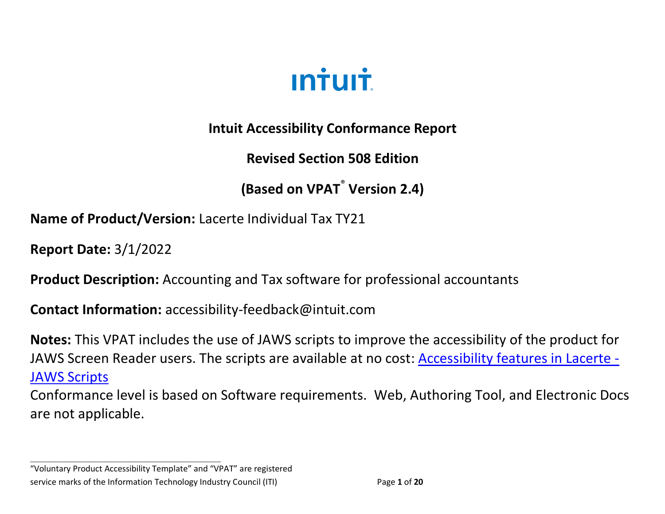

**Intuit Accessibility Conformance Report**

**Revised Section 508 Edition**

**(Based on VPAT**® **Version 2.4)**

**Name of Product/Version:** Lacerte Individual Tax TY21

**Report Date:** 3/1/2022

**Product Description:** Accounting and Tax software for professional accountants

**Contact Information:** accessibility-feedback@intuit.com

**Notes:** This VPAT includes the use of JAWS scripts to improve the accessibility of the product for JAWS Screen Reader users. The scripts are available at no cost: [Accessibility features in Lacerte -](https://proconnect.intuit.com/community/user-interaction/help/accessibility-features-in-lacerte/00/205346) [JAWS Scripts](https://proconnect.intuit.com/community/user-interaction/help/accessibility-features-in-lacerte/00/205346)

Conformance level is based on Software requirements. Web, Authoring Tool, and Electronic Docs are not applicable.

"Voluntary Product Accessibility Template" and "VPAT" are registered service marks of the Information Technology Industry Council (ITI) Page **1** of **20**

**\_\_\_\_\_\_\_\_\_\_\_\_\_\_\_\_\_\_\_\_\_\_\_\_\_\_\_\_\_\_\_\_\_\_**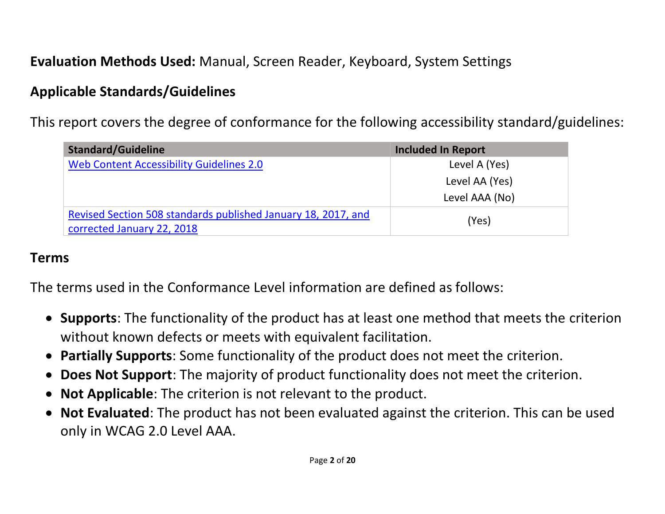# **Evaluation Methods Used:** Manual, Screen Reader, Keyboard, System Settings

### **Applicable Standards/Guidelines**

This report covers the degree of conformance for the following accessibility standard/guidelines:

| <b>Standard/Guideline</b>                                     | <b>Included In Report</b> |  |
|---------------------------------------------------------------|---------------------------|--|
| <b>Web Content Accessibility Guidelines 2.0</b>               | Level A (Yes)             |  |
|                                                               | Level AA (Yes)            |  |
|                                                               | Level AAA (No)            |  |
| Revised Section 508 standards published January 18, 2017, and | (Yes)                     |  |
| corrected January 22, 2018                                    |                           |  |

#### **Terms**

The terms used in the Conformance Level information are defined as follows:

- **Supports**: The functionality of the product has at least one method that meets the criterion without known defects or meets with equivalent facilitation.
- **Partially Supports**: Some functionality of the product does not meet the criterion.
- **Does Not Support**: The majority of product functionality does not meet the criterion.
- **Not Applicable**: The criterion is not relevant to the product.
- **Not Evaluated**: The product has not been evaluated against the criterion. This can be used only in WCAG 2.0 Level AAA.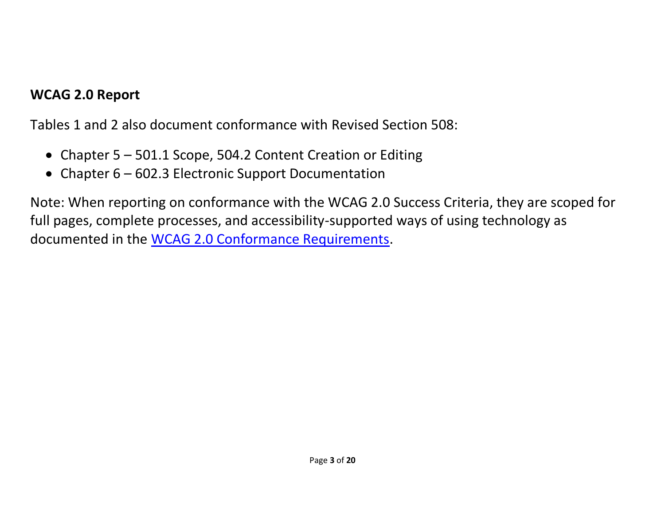#### **WCAG 2.0 Report**

Tables 1 and 2 also document conformance with Revised Section 508:

- Chapter 5 501.1 Scope, 504.2 Content Creation or Editing
- Chapter 6 602.3 Electronic Support Documentation

Note: When reporting on conformance with the WCAG 2.0 Success Criteria, they are scoped for full pages, complete processes, and accessibility-supported ways of using technology as documented in the [WCAG 2.0 Conformance Requirements.](https://www.w3.org/TR/WCAG20/#conformance-reqs)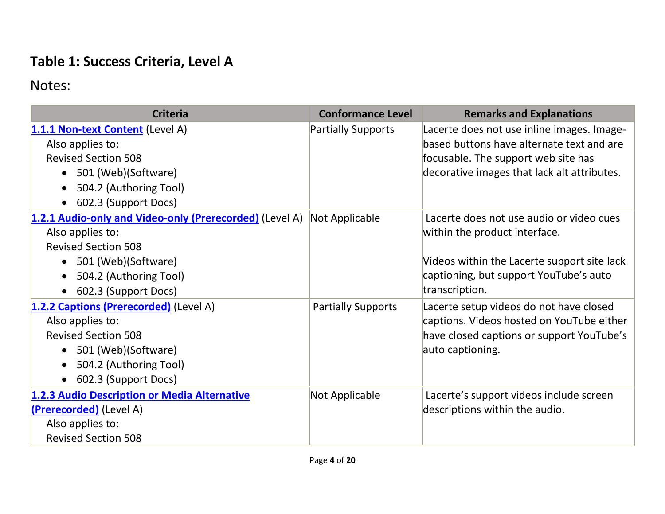## **Table 1: Success Criteria, Level A**

| <b>Criteria</b>                                                                                                                                                                                 | <b>Conformance Level</b>  | <b>Remarks and Explanations</b>                                                                                                                                                      |
|-------------------------------------------------------------------------------------------------------------------------------------------------------------------------------------------------|---------------------------|--------------------------------------------------------------------------------------------------------------------------------------------------------------------------------------|
| 1.1.1 Non-text Content (Level A)<br>Also applies to:<br><b>Revised Section 508</b><br>501 (Web)(Software)<br>$\bullet$<br>504.2 (Authoring Tool)<br>602.3 (Support Docs)<br>$\bullet$           | <b>Partially Supports</b> | Lacerte does not use inline images. Image-<br>based buttons have alternate text and are<br>focusable. The support web site has<br>decorative images that lack alt attributes.        |
| 1.2.1 Audio-only and Video-only (Prerecorded) (Level A)<br>Also applies to:<br><b>Revised Section 508</b><br>501 (Web)(Software)<br>$\bullet$<br>504.2 (Authoring Tool)<br>602.3 (Support Docs) | Not Applicable            | Lacerte does not use audio or video cues<br>within the product interface.<br>Videos within the Lacerte support site lack<br>captioning, but support YouTube's auto<br>transcription. |
| 1.2.2 Captions (Prerecorded) (Level A)<br>Also applies to:<br><b>Revised Section 508</b><br>501 (Web)(Software)<br>504.2 (Authoring Tool)<br>602.3 (Support Docs)                               | <b>Partially Supports</b> | Lacerte setup videos do not have closed<br>captions. Videos hosted on YouTube either<br>have closed captions or support YouTube's<br>auto captioning.                                |
| 1.2.3 Audio Description or Media Alternative<br>(Prerecorded) (Level A)<br>Also applies to:<br><b>Revised Section 508</b>                                                                       | Not Applicable            | Lacerte's support videos include screen<br>descriptions within the audio.                                                                                                            |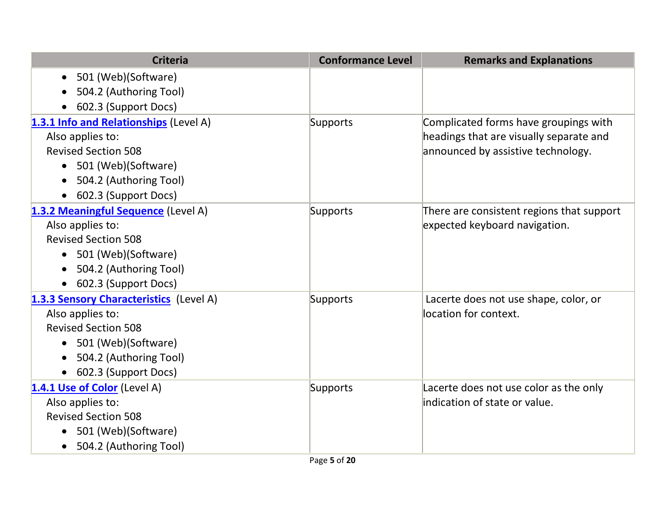| <b>Criteria</b>                         | <b>Conformance Level</b> | <b>Remarks and Explanations</b>           |
|-----------------------------------------|--------------------------|-------------------------------------------|
| • 501 (Web)(Software)                   |                          |                                           |
| 504.2 (Authoring Tool)                  |                          |                                           |
| 602.3 (Support Docs)                    |                          |                                           |
| 1.3.1 Info and Relationships (Level A)  | Supports                 | Complicated forms have groupings with     |
| Also applies to:                        |                          | headings that are visually separate and   |
| <b>Revised Section 508</b>              |                          | announced by assistive technology.        |
| 501 (Web)(Software)                     |                          |                                           |
| 504.2 (Authoring Tool)                  |                          |                                           |
| 602.3 (Support Docs)                    |                          |                                           |
| 1.3.2 Meaningful Sequence (Level A)     | Supports                 | There are consistent regions that support |
| Also applies to:                        |                          | expected keyboard navigation.             |
| <b>Revised Section 508</b>              |                          |                                           |
| • 501 (Web)(Software)                   |                          |                                           |
| 504.2 (Authoring Tool)                  |                          |                                           |
| 602.3 (Support Docs)                    |                          |                                           |
| 1.3.3 Sensory Characteristics (Level A) | Supports                 | Lacerte does not use shape, color, or     |
| Also applies to:                        |                          | location for context.                     |
| <b>Revised Section 508</b>              |                          |                                           |
| 501 (Web)(Software)                     |                          |                                           |
| 504.2 (Authoring Tool)                  |                          |                                           |
| 602.3 (Support Docs)                    |                          |                                           |
| 1.4.1 Use of Color (Level A)            | Supports                 | Lacerte does not use color as the only    |
| Also applies to:                        |                          | indication of state or value.             |
| <b>Revised Section 508</b>              |                          |                                           |
| 501 (Web)(Software)                     |                          |                                           |
| 504.2 (Authoring Tool)                  |                          |                                           |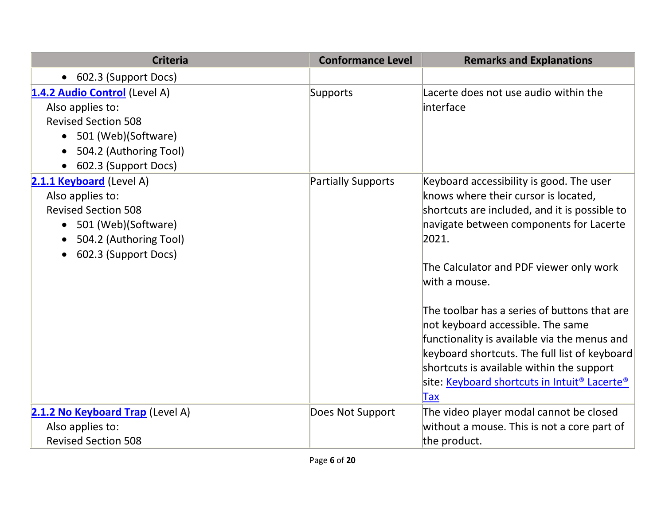| <b>Criteria</b>                                                                                                                                                  | <b>Conformance Level</b>  | <b>Remarks and Explanations</b>                                                                                                                                                                                                                                                                                                                                                                                                                                                                                                                         |
|------------------------------------------------------------------------------------------------------------------------------------------------------------------|---------------------------|---------------------------------------------------------------------------------------------------------------------------------------------------------------------------------------------------------------------------------------------------------------------------------------------------------------------------------------------------------------------------------------------------------------------------------------------------------------------------------------------------------------------------------------------------------|
| • 602.3 (Support Docs)                                                                                                                                           |                           |                                                                                                                                                                                                                                                                                                                                                                                                                                                                                                                                                         |
| 1.4.2 Audio Control (Level A)<br>Also applies to:<br><b>Revised Section 508</b><br>501 (Web)(Software)<br>504.2 (Authoring Tool)<br>602.3 (Support Docs)         | Supports                  | Lacerte does not use audio within the<br>interface                                                                                                                                                                                                                                                                                                                                                                                                                                                                                                      |
| 2.1.1 Keyboard (Level A)<br>Also applies to:<br><b>Revised Section 508</b><br>501 (Web)(Software)<br>$\bullet$<br>504.2 (Authoring Tool)<br>602.3 (Support Docs) | <b>Partially Supports</b> | Keyboard accessibility is good. The user<br>knows where their cursor is located,<br>shortcuts are included, and it is possible to<br>navigate between components for Lacerte<br>2021.<br>The Calculator and PDF viewer only work<br>with a mouse.<br>The toolbar has a series of buttons that are<br>not keyboard accessible. The same<br>functionality is available via the menus and<br>keyboard shortcuts. The full list of keyboard<br>shortcuts is available within the support<br>site: Keyboard shortcuts in Intuit <sup>®</sup> Lacerte®<br>Tax |
| 2.1.2 No Keyboard Trap (Level A)                                                                                                                                 | Does Not Support          | The video player modal cannot be closed                                                                                                                                                                                                                                                                                                                                                                                                                                                                                                                 |
| Also applies to:                                                                                                                                                 |                           | without a mouse. This is not a core part of                                                                                                                                                                                                                                                                                                                                                                                                                                                                                                             |
| <b>Revised Section 508</b>                                                                                                                                       |                           | the product.                                                                                                                                                                                                                                                                                                                                                                                                                                                                                                                                            |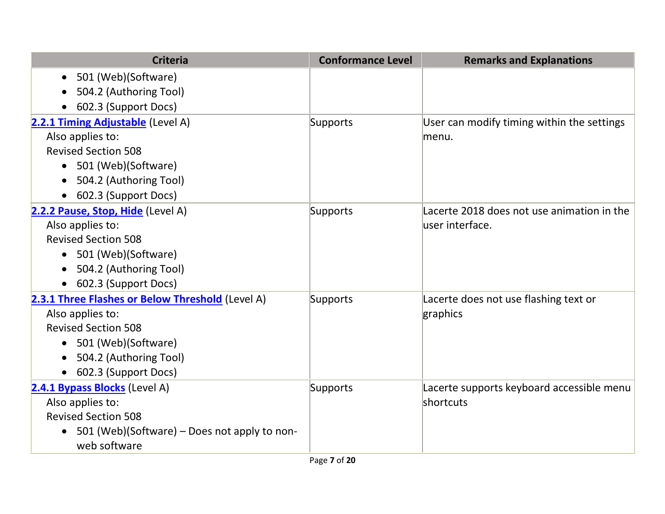| <b>Criteria</b>                                              | <b>Conformance Level</b> | <b>Remarks and Explanations</b>            |
|--------------------------------------------------------------|--------------------------|--------------------------------------------|
| 501 (Web)(Software)<br>$\bullet$                             |                          |                                            |
| 504.2 (Authoring Tool)                                       |                          |                                            |
| 602.3 (Support Docs)                                         |                          |                                            |
| 2.2.1 Timing Adjustable (Level A)                            | Supports                 | User can modify timing within the settings |
| Also applies to:                                             |                          | menu.                                      |
| <b>Revised Section 508</b>                                   |                          |                                            |
| 501 (Web)(Software)<br>$\bullet$                             |                          |                                            |
| 504.2 (Authoring Tool)                                       |                          |                                            |
| 602.3 (Support Docs)                                         |                          |                                            |
| 2.2.2 Pause, Stop, Hide (Level A)                            | Supports                 | Lacerte 2018 does not use animation in the |
| Also applies to:                                             |                          | user interface.                            |
| <b>Revised Section 508</b>                                   |                          |                                            |
| • 501 (Web)(Software)                                        |                          |                                            |
| 504.2 (Authoring Tool)                                       |                          |                                            |
| 602.3 (Support Docs)                                         |                          |                                            |
| 2.3.1 Three Flashes or Below Threshold (Level A)             | Supports                 | Lacerte does not use flashing text or      |
| Also applies to:                                             |                          | graphics                                   |
| <b>Revised Section 508</b>                                   |                          |                                            |
| 501 (Web)(Software)                                          |                          |                                            |
| 504.2 (Authoring Tool)                                       |                          |                                            |
| 602.3 (Support Docs)                                         |                          |                                            |
| 2.4.1 Bypass Blocks (Level A)                                | Supports                 | Lacerte supports keyboard accessible menu  |
| Also applies to:                                             |                          | shortcuts                                  |
| <b>Revised Section 508</b>                                   |                          |                                            |
| 501 (Web)(Software) – Does not apply to non-<br>web software |                          |                                            |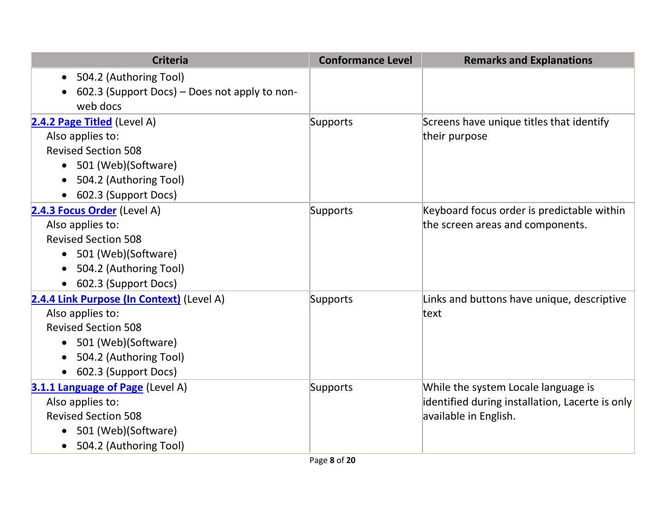| <b>Criteria</b>                               | <b>Conformance Level</b> | <b>Remarks and Explanations</b>                 |
|-----------------------------------------------|--------------------------|-------------------------------------------------|
| 504.2 (Authoring Tool)<br>$\bullet$           |                          |                                                 |
| 602.3 (Support Docs) – Does not apply to non- |                          |                                                 |
| web docs                                      |                          |                                                 |
| 2.4.2 Page Titled (Level A)                   | Supports                 | Screens have unique titles that identify        |
| Also applies to:                              |                          | their purpose                                   |
| <b>Revised Section 508</b>                    |                          |                                                 |
| 501 (Web)(Software)<br>$\bullet$              |                          |                                                 |
| 504.2 (Authoring Tool)                        |                          |                                                 |
| 602.3 (Support Docs)                          |                          |                                                 |
| 2.4.3 Focus Order (Level A)                   | Supports                 | Keyboard focus order is predictable within      |
| Also applies to:                              |                          | the screen areas and components.                |
| <b>Revised Section 508</b>                    |                          |                                                 |
| • 501 (Web)(Software)                         |                          |                                                 |
| 504.2 (Authoring Tool)                        |                          |                                                 |
| 602.3 (Support Docs)                          |                          |                                                 |
| 2.4.4 Link Purpose (In Context) (Level A)     | Supports                 | Links and buttons have unique, descriptive      |
| Also applies to:                              |                          | text                                            |
| <b>Revised Section 508</b>                    |                          |                                                 |
| 501 (Web)(Software)                           |                          |                                                 |
| 504.2 (Authoring Tool)                        |                          |                                                 |
| 602.3 (Support Docs)                          |                          |                                                 |
| 3.1.1 Language of Page (Level A)              | Supports                 | While the system Locale language is             |
| Also applies to:                              |                          | identified during installation, Lacerte is only |
| <b>Revised Section 508</b>                    |                          | available in English.                           |
| 501 (Web)(Software)                           |                          |                                                 |
| 504.2 (Authoring Tool)                        |                          |                                                 |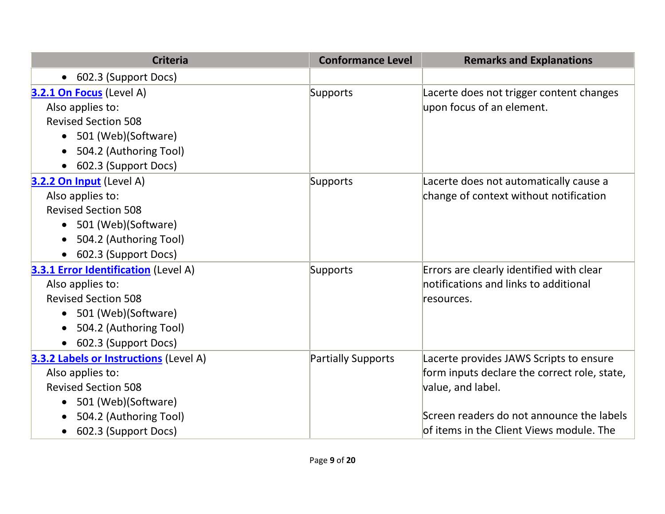| <b>Criteria</b>                               | <b>Conformance Level</b> | <b>Remarks and Explanations</b>              |
|-----------------------------------------------|--------------------------|----------------------------------------------|
| 602.3 (Support Docs)<br>$\bullet$             |                          |                                              |
| 3.2.1 On Focus (Level A)                      | Supports                 | Lacerte does not trigger content changes     |
| Also applies to:                              |                          | upon focus of an element.                    |
| <b>Revised Section 508</b>                    |                          |                                              |
| 501 (Web)(Software)<br>$\bullet$              |                          |                                              |
| 504.2 (Authoring Tool)                        |                          |                                              |
| 602.3 (Support Docs)                          |                          |                                              |
| 3.2.2 On Input (Level A)                      | Supports                 | Lacerte does not automatically cause a       |
| Also applies to:                              |                          | change of context without notification       |
| <b>Revised Section 508</b>                    |                          |                                              |
| • 501 (Web)(Software)                         |                          |                                              |
| 504.2 (Authoring Tool)                        |                          |                                              |
| 602.3 (Support Docs)                          |                          |                                              |
| <b>3.3.1 Error Identification</b> (Level A)   | Supports                 | Errors are clearly identified with clear     |
| Also applies to:                              |                          | notifications and links to additional        |
| <b>Revised Section 508</b>                    |                          | resources.                                   |
| 501 (Web)(Software)<br>$\bullet$              |                          |                                              |
| 504.2 (Authoring Tool)<br>$\bullet$           |                          |                                              |
| 602.3 (Support Docs)<br>$\bullet$             |                          |                                              |
| <b>3.3.2 Labels or Instructions (Level A)</b> | Partially Supports       | Lacerte provides JAWS Scripts to ensure      |
| Also applies to:                              |                          | form inputs declare the correct role, state, |
| <b>Revised Section 508</b>                    |                          | value, and label.                            |
| 501 (Web)(Software)                           |                          |                                              |
| 504.2 (Authoring Tool)                        |                          | Screen readers do not announce the labels    |
| 602.3 (Support Docs)<br>$\bullet$             |                          | of items in the Client Views module. The     |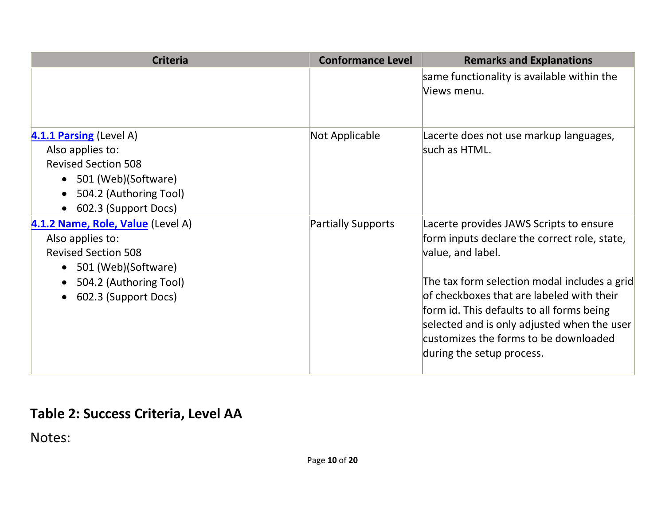| <b>Criteria</b>                                                                                                                                                 | <b>Conformance Level</b>  | <b>Remarks and Explanations</b>                                                                                                                                                                                                                                                                                                                                             |
|-----------------------------------------------------------------------------------------------------------------------------------------------------------------|---------------------------|-----------------------------------------------------------------------------------------------------------------------------------------------------------------------------------------------------------------------------------------------------------------------------------------------------------------------------------------------------------------------------|
|                                                                                                                                                                 |                           | same functionality is available within the<br>Views menu.                                                                                                                                                                                                                                                                                                                   |
| 4.1.1 Parsing (Level A)<br>Also applies to:<br><b>Revised Section 508</b><br>501 (Web)(Software)<br>$\bullet$<br>504.2 (Authoring Tool)<br>602.3 (Support Docs) | Not Applicable            | Lacerte does not use markup languages,<br>such as HTML.                                                                                                                                                                                                                                                                                                                     |
| 4.1.2 Name, Role, Value (Level A)<br>Also applies to:<br><b>Revised Section 508</b><br>501 (Web)(Software)<br>504.2 (Authoring Tool)<br>602.3 (Support Docs)    | <b>Partially Supports</b> | Lacerte provides JAWS Scripts to ensure<br>form inputs declare the correct role, state,<br>value, and label.<br>The tax form selection modal includes a grid<br>of checkboxes that are labeled with their<br>form id. This defaults to all forms being<br>selected and is only adjusted when the user<br>customizes the forms to be downloaded<br>during the setup process. |

# **Table 2: Success Criteria, Level AA**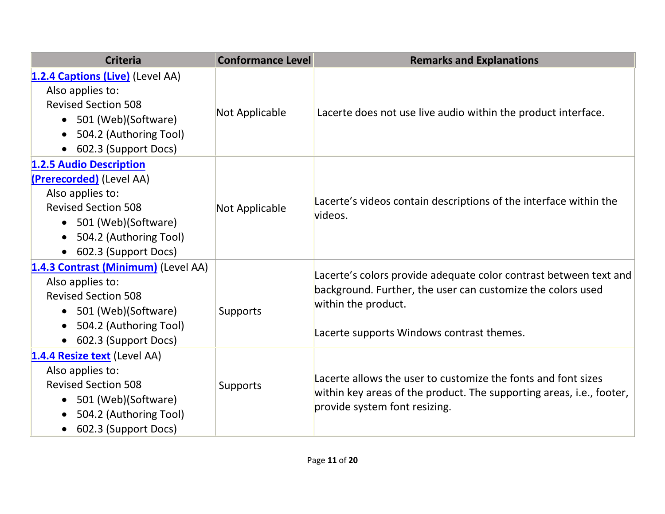| <b>Criteria</b>                                                                                                                                                                                       | <b>Conformance Level</b> | <b>Remarks and Explanations</b>                                                                                                                                                                      |
|-------------------------------------------------------------------------------------------------------------------------------------------------------------------------------------------------------|--------------------------|------------------------------------------------------------------------------------------------------------------------------------------------------------------------------------------------------|
| 1.2.4 Captions (Live) (Level AA)<br>Also applies to:<br><b>Revised Section 508</b><br>• 501 (Web) (Software)<br>504.2 (Authoring Tool)<br>$\bullet$<br>602.3 (Support Docs)                           | <b>Not Applicable</b>    | Lacerte does not use live audio within the product interface.                                                                                                                                        |
| 1.2.5 Audio Description<br>(Prerecorded) (Level AA)<br>Also applies to:<br><b>Revised Section 508</b><br>• 501 (Web)(Software)<br>504.2 (Authoring Tool)<br>602.3 (Support Docs)                      | Not Applicable           | Lacerte's videos contain descriptions of the interface within the<br>videos.                                                                                                                         |
| 1.4.3 Contrast (Minimum) (Level AA)<br>Also applies to:<br><b>Revised Section 508</b><br>501 (Web)(Software)<br>$\bullet$<br>504.2 (Authoring Tool)<br>$\bullet$<br>602.3 (Support Docs)<br>$\bullet$ | Supports                 | Lacerte's colors provide adequate color contrast between text and<br>background. Further, the user can customize the colors used<br>within the product.<br>Lacerte supports Windows contrast themes. |
| 1.4.4 Resize text (Level AA)<br>Also applies to:<br><b>Revised Section 508</b><br>501 (Web)(Software)<br>$\bullet$<br>504.2 (Authoring Tool)<br>$\bullet$<br>602.3 (Support Docs)<br>$\bullet$        | Supports                 | Lacerte allows the user to customize the fonts and font sizes<br>within key areas of the product. The supporting areas, i.e., footer,<br>provide system font resizing.                               |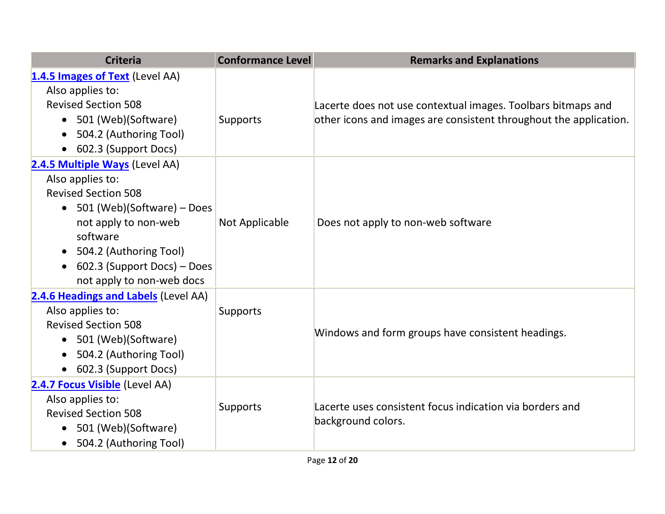| <b>Criteria</b>                                                                                                                                                                                                                                             | <b>Conformance Level</b> | <b>Remarks and Explanations</b>                                                                                                   |
|-------------------------------------------------------------------------------------------------------------------------------------------------------------------------------------------------------------------------------------------------------------|--------------------------|-----------------------------------------------------------------------------------------------------------------------------------|
| 1.4.5 Images of Text (Level AA)<br>Also applies to:<br><b>Revised Section 508</b><br>• 501 (Web)(Software)<br>504.2 (Authoring Tool)<br>602.3 (Support Docs)                                                                                                | Supports                 | Lacerte does not use contextual images. Toolbars bitmaps and<br>other icons and images are consistent throughout the application. |
| 2.4.5 Multiple Ways (Level AA)<br>Also applies to:<br><b>Revised Section 508</b><br>• $501$ (Web)(Software) – Does<br>not apply to non-web<br>software<br>• 504.2 (Authoring Tool)<br>602.3 (Support Docs) – Does<br>$\bullet$<br>not apply to non-web docs | Not Applicable           | Does not apply to non-web software                                                                                                |
| 2.4.6 Headings and Labels (Level AA)<br>Also applies to:<br><b>Revised Section 508</b><br>• 501 (Web)(Software)<br>504.2 (Authoring Tool)<br>602.3 (Support Docs)                                                                                           | Supports                 | Windows and form groups have consistent headings.                                                                                 |
| 2.4.7 Focus Visible (Level AA)<br>Also applies to:<br><b>Revised Section 508</b><br>501 (Web)(Software)<br>504.2 (Authoring Tool)                                                                                                                           | Supports                 | Lacerte uses consistent focus indication via borders and<br>background colors.                                                    |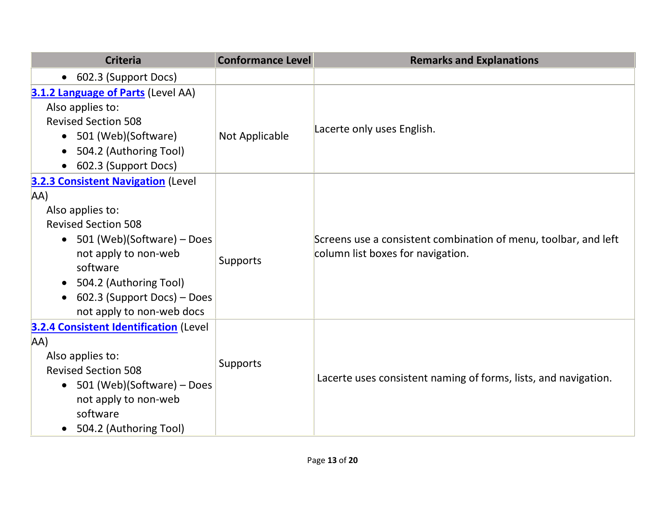| <b>Criteria</b>                                | <b>Conformance Level</b> | <b>Remarks and Explanations</b>                                 |
|------------------------------------------------|--------------------------|-----------------------------------------------------------------|
| 602.3 (Support Docs)<br>$\bullet$              |                          |                                                                 |
| 3.1.2 Language of Parts (Level AA)             |                          |                                                                 |
| Also applies to:                               |                          |                                                                 |
| <b>Revised Section 508</b>                     |                          | Lacerte only uses English.                                      |
| 501 (Web)(Software)<br>$\bullet$               | Not Applicable           |                                                                 |
| 504.2 (Authoring Tool)                         |                          |                                                                 |
| 602.3 (Support Docs)                           |                          |                                                                 |
| <b>3.2.3 Consistent Navigation (Level</b>      |                          |                                                                 |
| AA)                                            |                          |                                                                 |
| Also applies to:                               |                          |                                                                 |
| <b>Revised Section 508</b>                     | Supports                 |                                                                 |
| • $501$ (Web)(Software) – Does                 |                          | Screens use a consistent combination of menu, toolbar, and left |
| not apply to non-web                           |                          | column list boxes for navigation.                               |
| software                                       |                          |                                                                 |
| 504.2 (Authoring Tool)                         |                          |                                                                 |
| 602.3 (Support Docs) - Does                    |                          |                                                                 |
| not apply to non-web docs                      |                          |                                                                 |
| <b>3.2.4 Consistent Identification (Level)</b> |                          |                                                                 |
| AA)                                            |                          |                                                                 |
| Also applies to:                               | Supports                 |                                                                 |
| <b>Revised Section 508</b>                     |                          | Lacerte uses consistent naming of forms, lists, and navigation. |
| 501 (Web)(Software) – Does<br>$\bullet$        |                          |                                                                 |
| not apply to non-web                           |                          |                                                                 |
| software                                       |                          |                                                                 |
| 504.2 (Authoring Tool)<br>$\bullet$            |                          |                                                                 |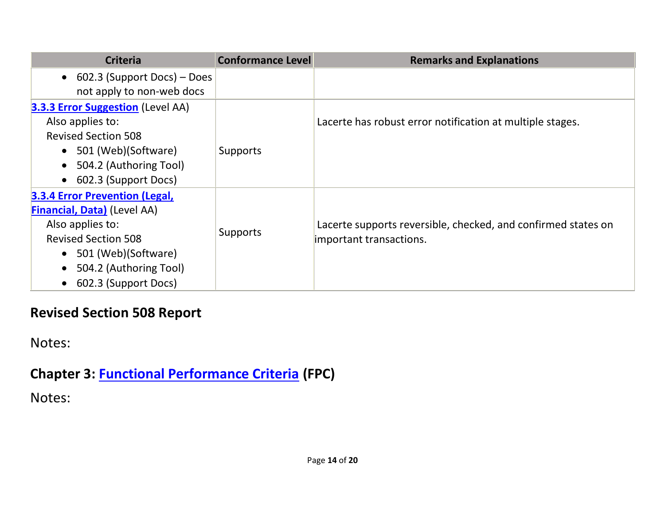| <b>Criteria</b>                          | <b>Conformance Level</b> | <b>Remarks and Explanations</b>                               |
|------------------------------------------|--------------------------|---------------------------------------------------------------|
| • 602.3 (Support Docs) – Does            |                          |                                                               |
| not apply to non-web docs                |                          |                                                               |
| <b>3.3.3 Error Suggestion (Level AA)</b> |                          |                                                               |
| Also applies to:                         |                          | Lacerte has robust error notification at multiple stages.     |
| <b>Revised Section 508</b>               |                          |                                                               |
| • 501 (Web) (Software)                   | Supports                 |                                                               |
| 504.2 (Authoring Tool)<br>$\bullet$      |                          |                                                               |
| 602.3 (Support Docs)<br>$\bullet$        |                          |                                                               |
| <b>3.3.4 Error Prevention (Legal,</b>    |                          |                                                               |
| <b>Financial, Data)</b> (Level AA)       |                          |                                                               |
| Also applies to:                         |                          | Lacerte supports reversible, checked, and confirmed states on |
| <b>Revised Section 508</b>               | Supports                 | important transactions.                                       |
| • 501 (Web)(Software)                    |                          |                                                               |
| 504.2 (Authoring Tool)                   |                          |                                                               |
| 602.3 (Support Docs)<br>$\bullet$        |                          |                                                               |

## **Revised Section 508 Report**

Notes:

**Chapter 3: [Functional Performance Criteria](https://www.access-board.gov/guidelines-and-standards/communications-and-it/about-the-ict-refresh/final-rule/text-of-the-standards-and-guidelines#302-functional-performance-criteria) (FPC)**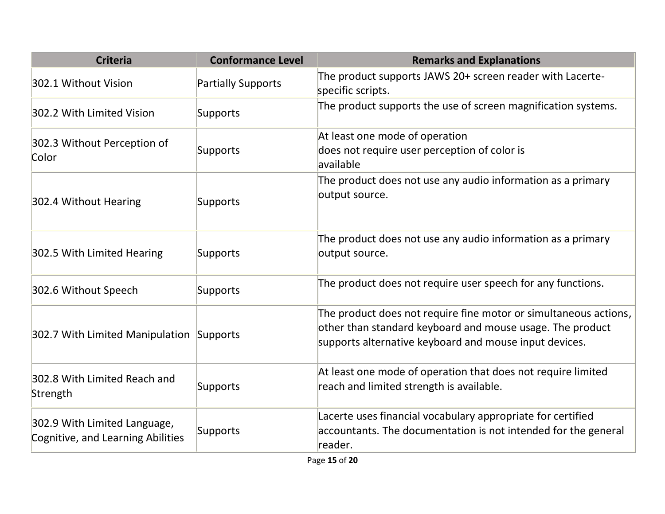| <b>Criteria</b>                                                   | <b>Conformance Level</b>  | <b>Remarks and Explanations</b>                                                                                                                                                         |
|-------------------------------------------------------------------|---------------------------|-----------------------------------------------------------------------------------------------------------------------------------------------------------------------------------------|
| 302.1 Without Vision                                              | <b>Partially Supports</b> | The product supports JAWS 20+ screen reader with Lacerte-<br>specific scripts.                                                                                                          |
| 302.2 With Limited Vision                                         | Supports                  | The product supports the use of screen magnification systems.                                                                                                                           |
| 302.3 Without Perception of<br>Color                              | Supports                  | At least one mode of operation<br>does not require user perception of color is<br>available                                                                                             |
| 302.4 Without Hearing                                             | Supports                  | The product does not use any audio information as a primary<br>output source.                                                                                                           |
| 302.5 With Limited Hearing                                        | Supports                  | The product does not use any audio information as a primary<br>output source.                                                                                                           |
| 302.6 Without Speech                                              | Supports                  | The product does not require user speech for any functions.                                                                                                                             |
| 302.7 With Limited Manipulation Supports                          |                           | The product does not require fine motor or simultaneous actions,<br>other than standard keyboard and mouse usage. The product<br>supports alternative keyboard and mouse input devices. |
| 302.8 With Limited Reach and<br>Strength                          | Supports                  | At least one mode of operation that does not require limited<br>reach and limited strength is available.                                                                                |
| 302.9 With Limited Language,<br>Cognitive, and Learning Abilities | Supports                  | Lacerte uses financial vocabulary appropriate for certified<br>accountants. The documentation is not intended for the general<br>reader.                                                |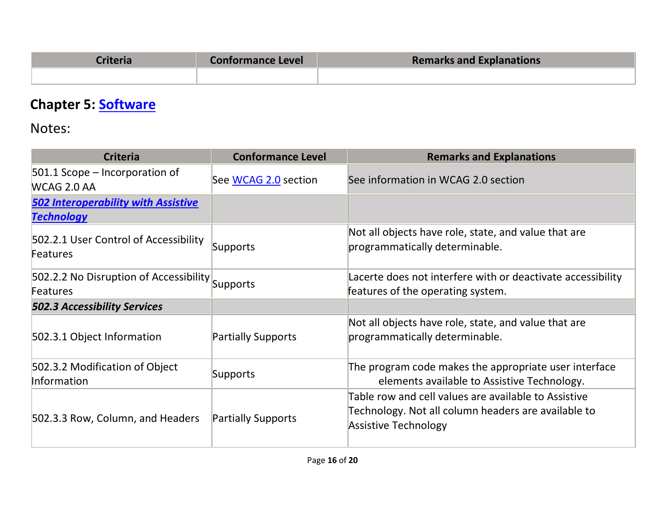| `riteria | <b>Conformance Level</b> | <b>Remarks and Explanations</b> |
|----------|--------------------------|---------------------------------|
|          |                          |                                 |

# **Chapter 5: [Software](https://www.access-board.gov/guidelines-and-standards/communications-and-it/about-the-ict-refresh/final-rule/text-of-the-standards-and-guidelines#501-general)**

| <b>Criteria</b>                                                    | <b>Conformance Level</b>  | <b>Remarks and Explanations</b>                                                                                                            |
|--------------------------------------------------------------------|---------------------------|--------------------------------------------------------------------------------------------------------------------------------------------|
| 501.1 Scope – Incorporation of<br>WCAG 2.0 AA                      | See WCAG 2.0 section      | See information in WCAG 2.0 section                                                                                                        |
| <b>502 Interoperability with Assistive</b><br><u>Technology</u>    |                           |                                                                                                                                            |
| 502.2.1 User Control of Accessibility<br><b>Features</b>           | Supports                  | Not all objects have role, state, and value that are<br>programmatically determinable.                                                     |
| 502.2.2 No Disruption of Accessibility Supports<br><b>Features</b> |                           | Lacerte does not interfere with or deactivate accessibility<br>features of the operating system.                                           |
| <b>502.3 Accessibility Services</b>                                |                           |                                                                                                                                            |
| 502.3.1 Object Information                                         | <b>Partially Supports</b> | Not all objects have role, state, and value that are<br>programmatically determinable.                                                     |
| 502.3.2 Modification of Object<br>Information                      | Supports                  | The program code makes the appropriate user interface<br>elements available to Assistive Technology.                                       |
| 502.3.3 Row, Column, and Headers                                   | <b>Partially Supports</b> | Table row and cell values are available to Assistive<br>Technology. Not all column headers are available to<br><b>Assistive Technology</b> |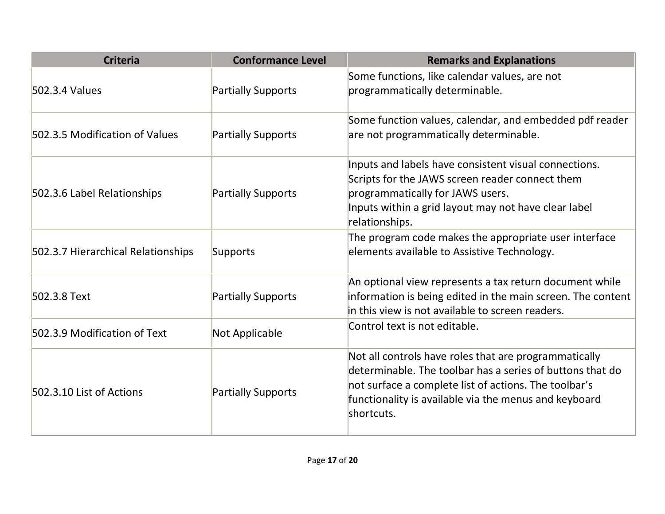| <b>Criteria</b>                    | <b>Conformance Level</b>  | <b>Remarks and Explanations</b>                                                                                                                                                                                                                    |
|------------------------------------|---------------------------|----------------------------------------------------------------------------------------------------------------------------------------------------------------------------------------------------------------------------------------------------|
| 502.3.4 Values                     | <b>Partially Supports</b> | Some functions, like calendar values, are not<br>programmatically determinable.                                                                                                                                                                    |
| 502.3.5 Modification of Values     | <b>Partially Supports</b> | Some function values, calendar, and embedded pdf reader<br>are not programmatically determinable.                                                                                                                                                  |
| 502.3.6 Label Relationships        | <b>Partially Supports</b> | Inputs and labels have consistent visual connections.<br>Scripts for the JAWS screen reader connect them<br>programmatically for JAWS users.<br>Inputs within a grid layout may not have clear label<br>relationships.                             |
| 502.3.7 Hierarchical Relationships | Supports                  | The program code makes the appropriate user interface<br>elements available to Assistive Technology.                                                                                                                                               |
| 502.3.8 Text                       | Partially Supports        | An optional view represents a tax return document while<br>information is being edited in the main screen. The content<br>in this view is not available to screen readers.                                                                         |
| 502.3.9 Modification of Text       | Not Applicable            | Control text is not editable.                                                                                                                                                                                                                      |
| 502.3.10 List of Actions           | <b>Partially Supports</b> | Not all controls have roles that are programmatically<br>determinable. The toolbar has a series of buttons that do<br>not surface a complete list of actions. The toolbar's<br>functionality is available via the menus and keyboard<br>shortcuts. |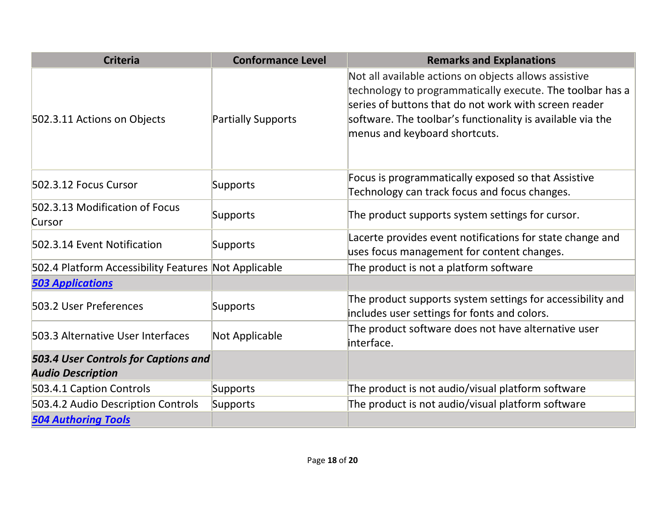| <b>Criteria</b>                                                  | <b>Conformance Level</b>  | <b>Remarks and Explanations</b>                                                                                                                                                                                                                                            |
|------------------------------------------------------------------|---------------------------|----------------------------------------------------------------------------------------------------------------------------------------------------------------------------------------------------------------------------------------------------------------------------|
| 502.3.11 Actions on Objects                                      | <b>Partially Supports</b> | Not all available actions on objects allows assistive<br>technology to programmatically execute. The toolbar has a<br>series of buttons that do not work with screen reader<br>software. The toolbar's functionality is available via the<br>menus and keyboard shortcuts. |
| 502.3.12 Focus Cursor                                            | Supports                  | Focus is programmatically exposed so that Assistive<br>Technology can track focus and focus changes.                                                                                                                                                                       |
| 502.3.13 Modification of Focus<br>Cursor                         | Supports                  | The product supports system settings for cursor.                                                                                                                                                                                                                           |
| 502.3.14 Event Notification                                      | Supports                  | Lacerte provides event notifications for state change and<br>uses focus management for content changes.                                                                                                                                                                    |
| 502.4 Platform Accessibility Features Not Applicable             |                           | The product is not a platform software                                                                                                                                                                                                                                     |
| <b>503 Applications</b>                                          |                           |                                                                                                                                                                                                                                                                            |
| 503.2 User Preferences                                           | Supports                  | The product supports system settings for accessibility and<br>includes user settings for fonts and colors.                                                                                                                                                                 |
| 503.3 Alternative User Interfaces                                | Not Applicable            | The product software does not have alternative user<br>interface.                                                                                                                                                                                                          |
| 503.4 User Controls for Captions and<br><b>Audio Description</b> |                           |                                                                                                                                                                                                                                                                            |
| 503.4.1 Caption Controls                                         | Supports                  | The product is not audio/visual platform software                                                                                                                                                                                                                          |
| 503.4.2 Audio Description Controls                               | Supports                  | The product is not audio/visual platform software                                                                                                                                                                                                                          |
| <b>504 Authoring Tools</b>                                       |                           |                                                                                                                                                                                                                                                                            |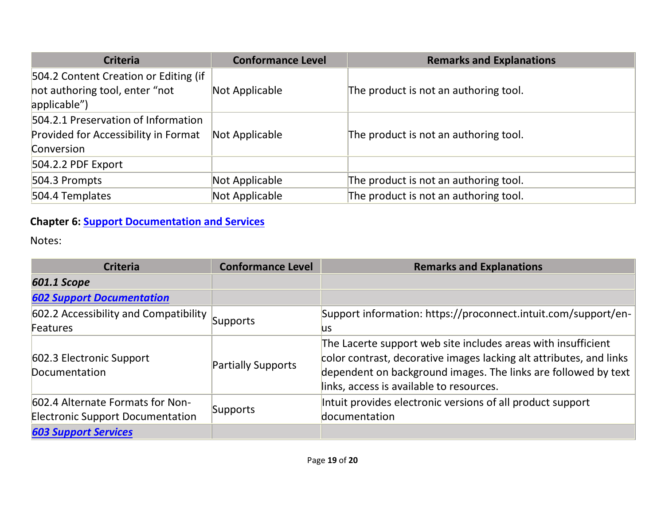| <b>Criteria</b>                                | <b>Conformance Level</b> | <b>Remarks and Explanations</b>       |
|------------------------------------------------|--------------------------|---------------------------------------|
| 504.2 Content Creation or Editing (if          |                          |                                       |
| not authoring tool, enter "not<br>applicable") | Not Applicable           | The product is not an authoring tool. |
| 504.2.1 Preservation of Information            |                          |                                       |
| Provided for Accessibility in Format           | Not Applicable           | The product is not an authoring tool. |
| Conversion                                     |                          |                                       |
| 504.2.2 PDF Export                             |                          |                                       |
| 504.3 Prompts                                  | Not Applicable           | The product is not an authoring tool. |
| 504.4 Templates                                | Not Applicable           | The product is not an authoring tool. |

#### **Chapter 6: [Support Documentation and Services](https://www.access-board.gov/guidelines-and-standards/communications-and-it/about-the-ict-refresh/final-rule/text-of-the-standards-and-guidelines#601-general)**

| <b>Criteria</b>                                                             | <b>Conformance Level</b>  | <b>Remarks and Explanations</b>                                                                                                                                                                                                                    |
|-----------------------------------------------------------------------------|---------------------------|----------------------------------------------------------------------------------------------------------------------------------------------------------------------------------------------------------------------------------------------------|
| 601.1 Scope                                                                 |                           |                                                                                                                                                                                                                                                    |
| <b>602 Support Documentation</b>                                            |                           |                                                                                                                                                                                                                                                    |
| 602.2 Accessibility and Compatibility                                       | Supports                  | Support information: https://proconnect.intuit.com/support/en-                                                                                                                                                                                     |
| <b>Features</b>                                                             |                           | <b>us</b>                                                                                                                                                                                                                                          |
| 602.3 Electronic Support<br><b>Documentation</b>                            | <b>Partially Supports</b> | The Lacerte support web site includes areas with insufficient<br>color contrast, decorative images lacking alt attributes, and links<br>dependent on background images. The links are followed by text<br>links, access is available to resources. |
| 602.4 Alternate Formats for Non-<br><b>Electronic Support Documentation</b> | Supports                  | Intuit provides electronic versions of all product support<br>documentation                                                                                                                                                                        |
| <b>603 Support Services</b>                                                 |                           |                                                                                                                                                                                                                                                    |